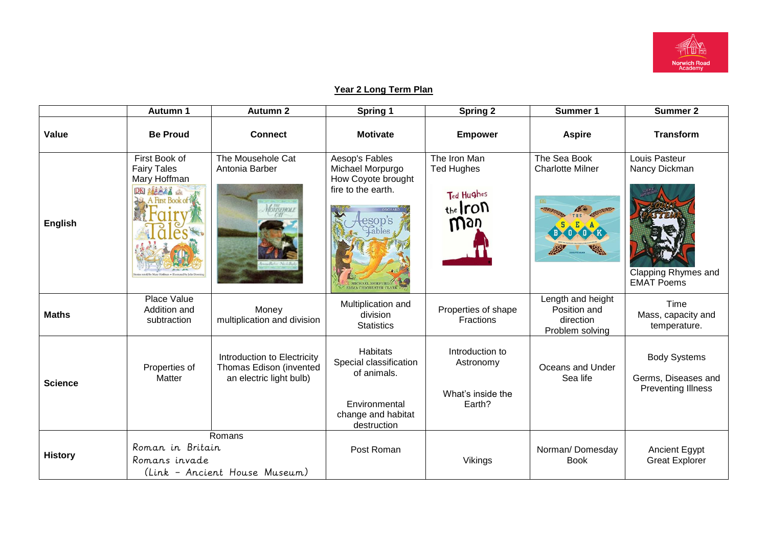

## **Year 2 Long Term Plan**

|                | Autumn 1                                                                                                     | <b>Autumn 2</b>                                  | Spring 1                                                                                                       | <b>Spring 2</b>                                                     | Summer 1                                                          | Summer 2                                                                          |
|----------------|--------------------------------------------------------------------------------------------------------------|--------------------------------------------------|----------------------------------------------------------------------------------------------------------------|---------------------------------------------------------------------|-------------------------------------------------------------------|-----------------------------------------------------------------------------------|
| Value          | <b>Be Proud</b><br><b>Connect</b>                                                                            |                                                  | <b>Motivate</b>                                                                                                | <b>Empower</b>                                                      | <b>Aspire</b>                                                     | <b>Transform</b>                                                                  |
| <b>English</b> | First Book of<br><b>Fairy Tales</b><br>Mary Hoffman<br>DKI おおおとる<br>A First Book of                          | The Mousehole Cat<br>Antonia Barber<br>VousEHOLE | Aesop's Fables<br>Michael Morpurgo<br>How Coyote brought<br>fire to the earth.<br>esop's<br>Lables             | The Iron Man<br><b>Ted Hughes</b><br>Ted Hughes<br>$the$ ron<br>Way | The Sea Book<br><b>Charlotte Milner</b>                           | Louis Pasteur<br>Nancy Dickman<br><b>Clapping Rhymes and</b><br><b>EMAT Poems</b> |
| <b>Maths</b>   | Place Value<br>Addition and<br>Money<br>subtraction<br>multiplication and division                           |                                                  | Multiplication and<br>division<br><b>Statistics</b>                                                            | Properties of shape<br>Fractions                                    | Length and height<br>Position and<br>direction<br>Problem solving | Time<br>Mass, capacity and<br>temperature.                                        |
| <b>Science</b> | Introduction to Electricity<br>Thomas Edison (invented<br>Properties of<br>Matter<br>an electric light bulb) |                                                  | <b>Habitats</b><br>Special classification<br>of animals.<br>Environmental<br>change and habitat<br>destruction | Introduction to<br>Astronomy<br>What's inside the<br>Earth?         | Oceans and Under<br>Sea life                                      | <b>Body Systems</b><br>Germs, Diseases and<br><b>Preventing Illness</b>           |
| <b>History</b> | Romans<br>Roman in Britain<br>Romans invade<br>(Link - Ancient House Museum)                                 |                                                  | Post Roman                                                                                                     | Vikings                                                             | Norman/Domesday<br><b>Book</b>                                    | Ancient Egypt<br><b>Great Explorer</b>                                            |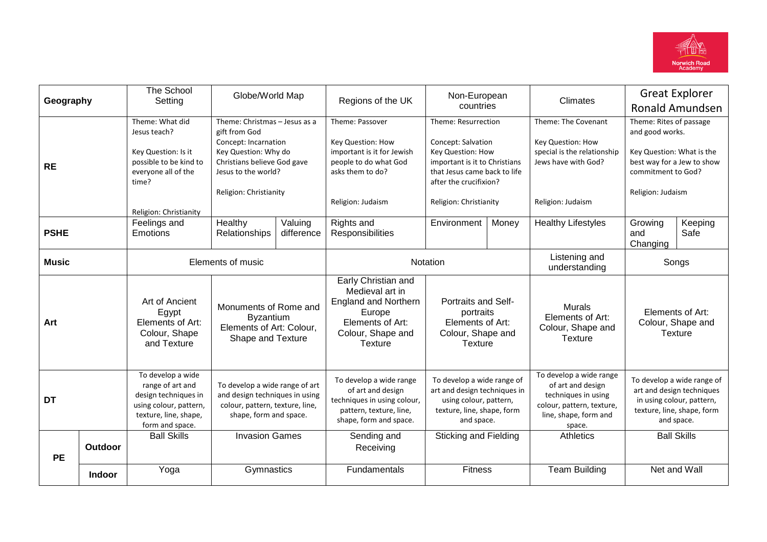

| Geography    |               | The School<br>Setting                                                                                                               | Globe/World Map                                                                                                               |                       | Non-European<br>Regions of the UK                                                                                                          |                                                                                                                                           | Climates | <b>Great Explorer</b>                                                                                                               |                                                                                                                                  |                    |
|--------------|---------------|-------------------------------------------------------------------------------------------------------------------------------------|-------------------------------------------------------------------------------------------------------------------------------|-----------------------|--------------------------------------------------------------------------------------------------------------------------------------------|-------------------------------------------------------------------------------------------------------------------------------------------|----------|-------------------------------------------------------------------------------------------------------------------------------------|----------------------------------------------------------------------------------------------------------------------------------|--------------------|
|              |               |                                                                                                                                     |                                                                                                                               |                       | countries                                                                                                                                  |                                                                                                                                           |          |                                                                                                                                     | <b>Ronald Amundsen</b>                                                                                                           |                    |
|              |               | Theme: What did<br>Jesus teach?                                                                                                     | Theme: Christmas - Jesus as a<br>gift from God                                                                                |                       | Theme: Passover                                                                                                                            | Theme: Resurrection                                                                                                                       |          | Theme: The Covenant                                                                                                                 | Theme: Rites of passage<br>and good works.                                                                                       |                    |
| <b>RE</b>    |               | Key Question: Is it<br>possible to be kind to<br>everyone all of the<br>time?                                                       | Concept: Incarnation<br>Key Question: Why do<br>Christians believe God gave<br>Jesus to the world?                            |                       | Key Question: How<br>important is it for Jewish<br>people to do what God<br>asks them to do?                                               | Concept: Salvation<br><b>Key Question: How</b><br>important is it to Christians<br>that Jesus came back to life<br>after the crucifixion? |          | Key Question: How<br>special is the relationship<br>Jews have with God?                                                             | Key Question: What is the<br>best way for a Jew to show<br>commitment to God?                                                    |                    |
|              |               | Religion: Christianity                                                                                                              | Religion: Christianity                                                                                                        |                       | Religion: Judaism                                                                                                                          | Religion: Christianity                                                                                                                    |          | Religion: Judaism                                                                                                                   | Religion: Judaism                                                                                                                |                    |
| <b>PSHE</b>  |               | Feelings and<br>Emotions                                                                                                            | Healthy<br>Relationships                                                                                                      | Valuing<br>difference | Rights and<br>Responsibilities                                                                                                             | Environment                                                                                                                               | Money    | <b>Healthy Lifestyles</b>                                                                                                           | Growing<br>and<br>Changing                                                                                                       | Keeping<br>Safe    |
| <b>Music</b> |               | Elements of music                                                                                                                   |                                                                                                                               | Notation              |                                                                                                                                            | Listening and<br>understanding                                                                                                            | Songs    |                                                                                                                                     |                                                                                                                                  |                    |
| Art          |               | Art of Ancient<br>Egypt<br>Elements of Art:<br>Colour, Shape<br>and Texture                                                         | Monuments of Rome and<br><b>Byzantium</b><br>Elements of Art: Colour,<br>Shape and Texture                                    |                       | Early Christian and<br>Medieval art in<br><b>England and Northern</b><br>Europe<br>Elements of Art:<br>Colour, Shape and<br><b>Texture</b> | Portraits and Self-<br>portraits<br>Elements of Art:<br>Colour, Shape and<br>Texture                                                      |          | <b>Murals</b><br>Elements of Art:<br>Colour, Shape and<br><b>Texture</b>                                                            | Elements of Art:<br>Colour, Shape and<br><b>Texture</b>                                                                          |                    |
| <b>DT</b>    |               | To develop a wide<br>range of art and<br>design techniques in<br>using colour, pattern,<br>texture, line, shape,<br>form and space. | To develop a wide range of art<br>and design techniques in using<br>colour, pattern, texture, line,<br>shape, form and space. |                       | To develop a wide range<br>of art and design<br>techniques in using colour,<br>pattern, texture, line,<br>shape, form and space.           | To develop a wide range of<br>art and design techniques in<br>using colour, pattern,<br>texture, line, shape, form<br>and space.          |          | To develop a wide range<br>of art and design<br>techniques in using<br>colour, pattern, texture,<br>line, shape, form and<br>space. | To develop a wide range of<br>art and design techniques<br>in using colour, pattern,<br>texture, line, shape, form<br>and space. |                    |
| <b>PE</b>    | Outdoor       | <b>Ball Skills</b>                                                                                                                  | <b>Invasion Games</b>                                                                                                         |                       | Sending and<br>Receiving                                                                                                                   | <b>Sticking and Fielding</b>                                                                                                              |          | <b>Athletics</b>                                                                                                                    |                                                                                                                                  | <b>Ball Skills</b> |
|              | <b>Indoor</b> | Yoga                                                                                                                                | Gymnastics                                                                                                                    |                       | Fundamentals                                                                                                                               | <b>Fitness</b>                                                                                                                            |          | <b>Team Building</b>                                                                                                                |                                                                                                                                  | Net and Wall       |